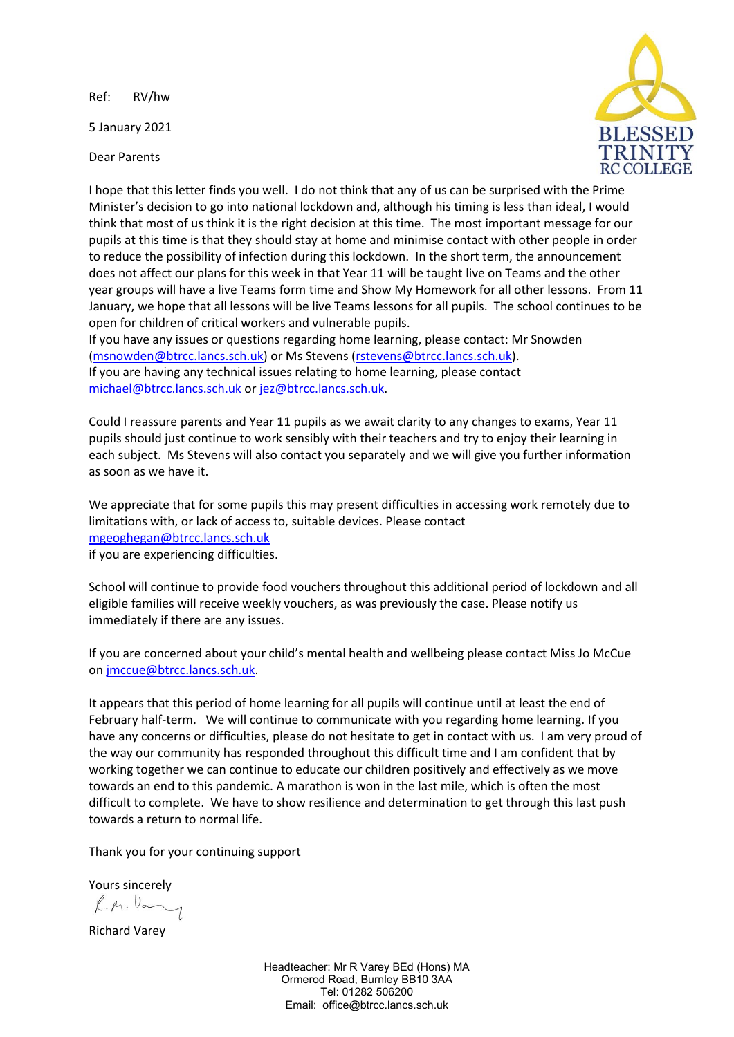Ref: RV/hw

5 January 2021

Dear Parents



I hope that this letter finds you well. I do not think that any of us can be surprised with the Prime Minister's decision to go into national lockdown and, although his timing is less than ideal, I would think that most of us think it is the right decision at this time. The most important message for our pupils at this time is that they should stay at home and minimise contact with other people in order to reduce the possibility of infection during this lockdown. In the short term, the announcement does not affect our plans for this week in that Year 11 will be taught live on Teams and the other year groups will have a live Teams form time and Show My Homework for all other lessons. From 11 January, we hope that all lessons will be live Teams lessons for all pupils. The school continues to be open for children of critical workers and vulnerable pupils.

If you have any issues or questions regarding home learning, please contact: Mr Snowden [\(msnowden@btrcc.lancs.sch.uk\)](mailto:msnowden@btrcc.lancs.sch.uk) or Ms Stevens [\(rstevens@btrcc.lancs.sch.uk\)](mailto:rstevens@btrcc.lancs.sch.uk). If you are having any technical issues relating to home learning, please contact [michael@btrcc.lancs.sch.uk](mailto:michael@btrcc.lancs.sch.uk) o[r jez@btrcc.lancs.sch.uk.](mailto:jez@btrcc.lancs.sch.uk)

Could I reassure parents and Year 11 pupils as we await clarity to any changes to exams, Year 11 pupils should just continue to work sensibly with their teachers and try to enjoy their learning in each subject. Ms Stevens will also contact you separately and we will give you further information as soon as we have it.

We appreciate that for some pupils this may present difficulties in accessing work remotely due to limitations with, or lack of access to, suitable devices. Please contact [mgeoghegan@btrcc.lancs.sch.uk](mailto:mgeoghegan@btrcc.lancs.sch.uk)

if you are experiencing difficulties.

School will continue to provide food vouchers throughout this additional period of lockdown and all eligible families will receive weekly vouchers, as was previously the case. Please notify us immediately if there are any issues.

If you are concerned about your child's mental health and wellbeing please contact Miss Jo McCue on [jmccue@btrcc.lancs.sch.uk.](mailto:jmccue@btrcc.lancs.sch.uk)

It appears that this period of home learning for all pupils will continue until at least the end of February half-term. We will continue to communicate with you regarding home learning. If you have any concerns or difficulties, please do not hesitate to get in contact with us. I am very proud of the way our community has responded throughout this difficult time and I am confident that by working together we can continue to educate our children positively and effectively as we move towards an end to this pandemic. A marathon is won in the last mile, which is often the most difficult to complete. We have to show resilience and determination to get through this last push towards a return to normal life.

Thank you for your continuing support

Yours sincerely

 $R.M.$   $\upsilon$ 

Richard Varey

Headteacher: Mr R Varey BEd (Hons) MA Ormerod Road, Burnley BB10 3AA Tel: 01282 506200 Email: office@btrcc.lancs.sch.uk